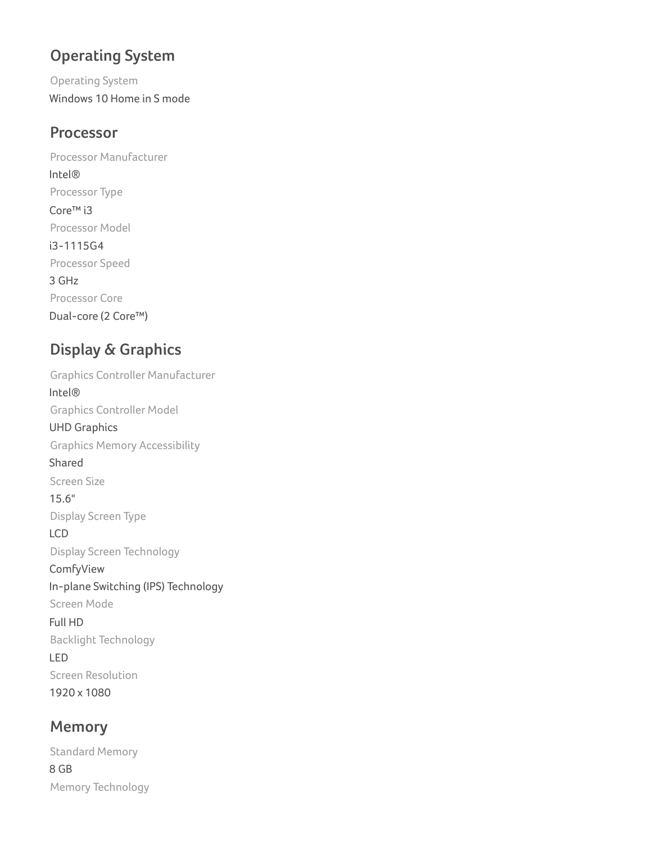# **Operating System**

Operating System Windows 10 Home in S mode

#### **Processor**

Processor Manufacturer Intel® Processor Type Core™ i3 Processor Model i3-1115G4 Processor Speed 3 GHz Processor Core Dual-core (2 Core™)

# **Display & Graphics**

Graphics Controller Manufacturer Intel® Graphics Controller Model UHD Graphics Graphics Memory Accessibility Shared Screen Size 15.6" Display Screen Type LCD Display Screen Technology ComfyView In-plane Switching (IPS) Technology Screen Mode Full HD Backlight Technology LED Screen Resolution 1920 x 1080

### **Memory**

Standard Memory 8 GB Memory Technology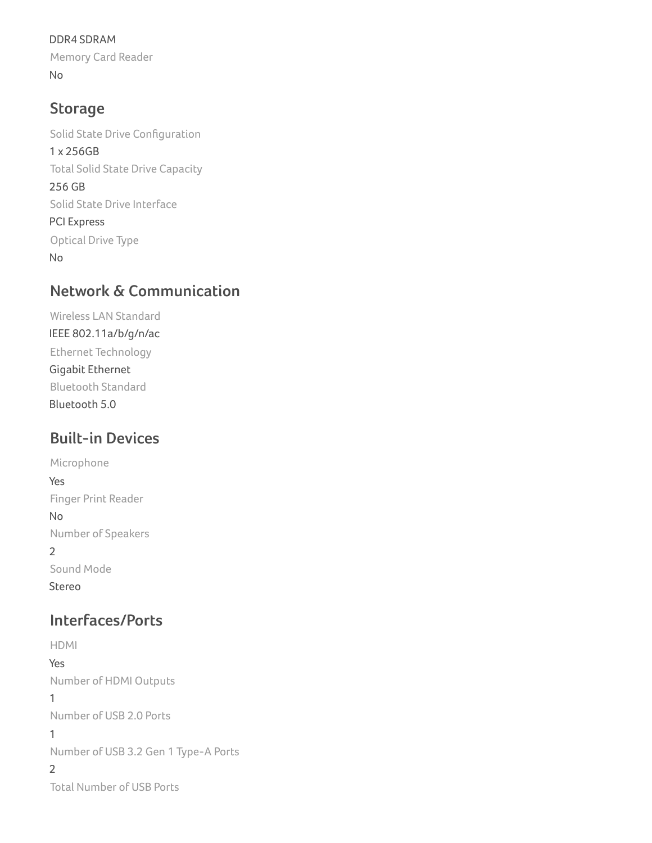DDR4 SDRAM Memory Card Reader No

## **Storage**

Solid State Drive Configuration 1 x 256GB Total Solid State Drive Capacity 256 GB Solid State Drive Interface PCI Express Optical Drive Type No

### **Network & Communication**

Wireless LAN Standard IEEE 802.11a/b/g/n/ac Ethernet Technology Gigabit Ethernet Bluetooth Standard Bluetooth 5.0

# **Built-in Devices**

Microphone Yes Finger Print Reader No Number of Speakers 2 Sound Mode Stereo

## **Interfaces/Ports**

HDMI Yes Number of HDMI Outputs 1 Number of USB 2.0 Ports 1 Number of USB 3.2 Gen 1 Type-A Ports 2 Total Number of USB Ports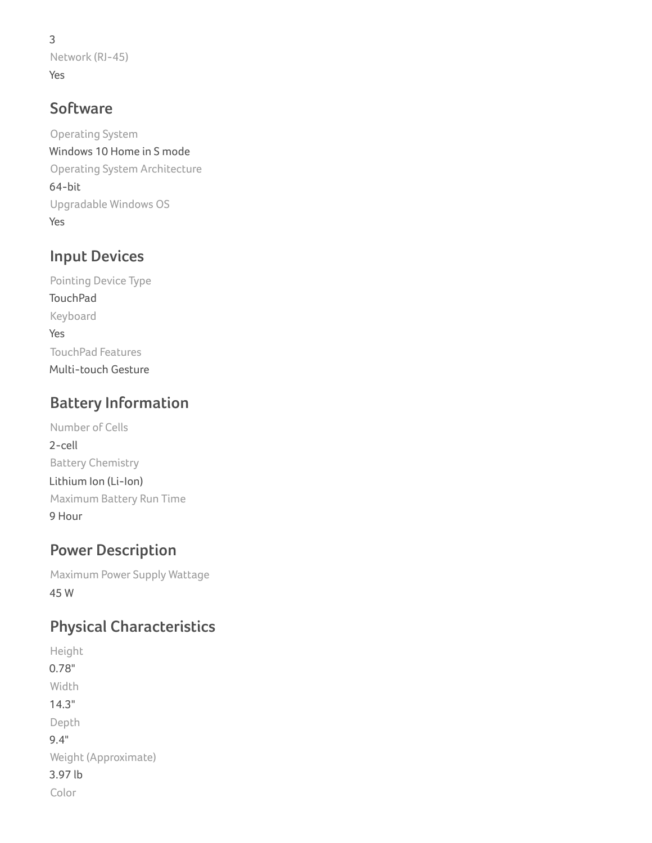3 Network (RJ-45) Yes

## **Software**

Operating System Windows 10 Home in S mode Operating System Architecture 64-bit Upgradable Windows OS Yes

# **Input Devices**

Pointing Device Type **TouchPad** Keyboard Yes TouchPad Features Multi-touch Gesture

# **Battery Information**

Number of Cells 2-cell Battery Chemistry Lithium Ion (Li-Ion) Maximum Battery Run Time 9 Hour

# **Power Description**

Maximum Power Supply Wattage 45 W

# **Physical Characteristics**

Height 0.78" Width 14.3" Depth 9.4" Weight (Approximate) 3.97 lb Color